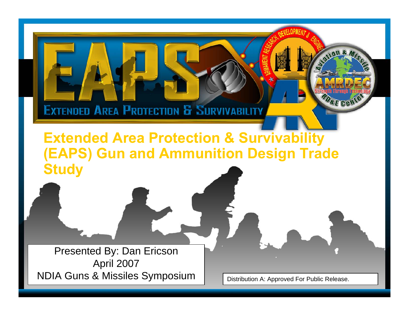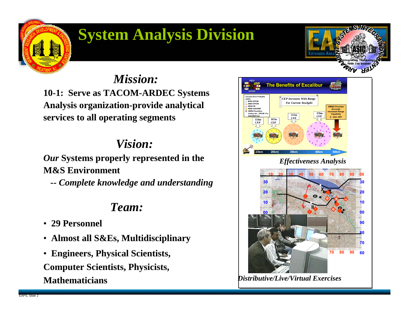# **System Analysis Division**

*Mission:***10-1: Serve as TACOM-ARDEC Systems** 

**Analysis organization-provide analytical services to all operating segments**

## *Vision:*

*Our* **Systems properly represented in the M&S Environment**

**--** *Complete knowledge and understanding*

## *Team:*

- **29 Personnel**
- **Almost all S&Es, Multidisciplinary**
- **Engineers, Physical Scientists, Computer Scientists, Physicists, Mathematicians**

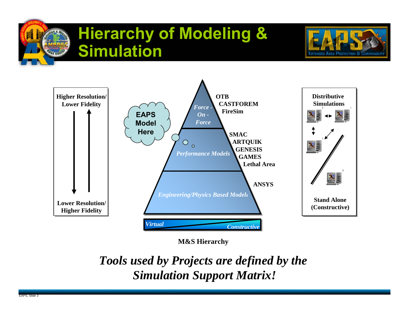# **Hierarchy of Modeling & Simulation**





**M&S Hierarchy**

*Tools used by Projects are defined by the Simulation Support Matrix!*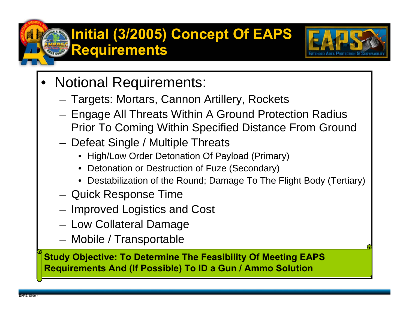# **Initial (3/2005) Concept Of EAPS Requirements**



- • Notional Requirements:
	- Targets: Mortars, Cannon Artillery, Rockets
	- Engage All Threats Within A Ground Protection Radius Prior To Coming Within Specified Distance From Ground
	- Defeat Single / Multiple Threats
		- High/Low Order Detonation Of Payload (Primary)
		- •Detonation or Destruction of Fuze (Secondary)
		- Destabilization of the Round; Damage To The Flight Body (Tertiary)
	- Quick Response Time
	- Improved Logistics and Cost
	- –Low Collateral Damage
	- Mobile / Transportable

**Study Objective: To Determine The Feasibility Of Meeting EAPS Requirements And (If Possible) To ID a Gun / Ammo Solution**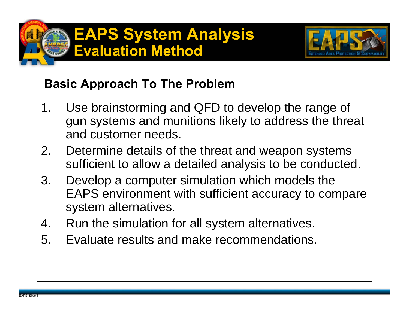



## **Basic Approach To The Problem**

- 1. Use brainstorming and QFD to develop the range of gun systems and munitions likely to address the threat and customer needs.
- 2. Determine details of the threat and weapon systems sufficient to allow a detailed analysis to be conducted.
- 3. Develop a computer simulation which models the EAPS environment with sufficient accuracy to compare system alternatives.
- 4. Run the simulation for all system alternatives.
- 5. Evaluate results and make recommendations.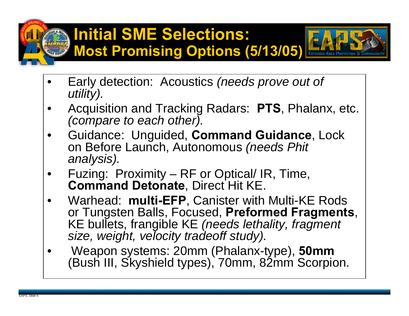# **Initial SME Selections: Most Promising Options (5/13/05)**



- • Early detection: Acoustics *(needs prove out of utility).*
- • Acquisition and Tracking Radars: **PTS**, Phalanx, etc. *(compare to each other).*
- • Guidance: Unguided, **Command Guidance**, Lock on Before Launch, Autonomous *(needs Phit analysis).*
- • Fuzing: Proximity – RF or Optical/ IR, Time, **Command Detonate**, Direct Hit KE.
- • Warhead: **multi-EFP**, Canister with Multi-KE Rods or Tungsten Balls, Focused, **Preformed Fragments**, KE bullets, frangible KE *(needs lethality, fragment size, weight, velocity tradeoff study).*
- • Weapon systems: 20mm (Phalanx-type), **50mm** (Bush III, Skyshield types), 70mm, 82mm Scorpion.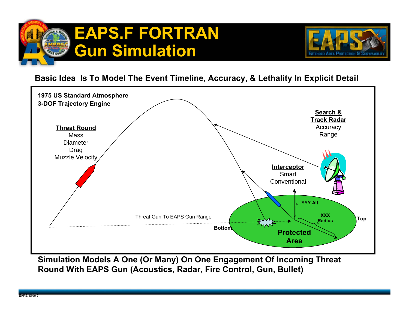



#### **Basic Idea Is To Model The Event Timeline, Accuracy, & Lethality In Explicit Detail**



**Simulation Models A One (Or Many) On One Engagement Of Incoming Threat Round With EAPS Gun (Acoustics, Radar, Fire Control, Gun, Bullet)**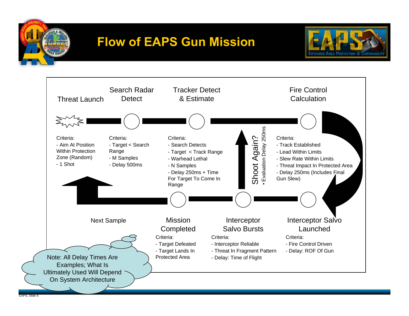

# **Flow of EAPS Gun Mission**



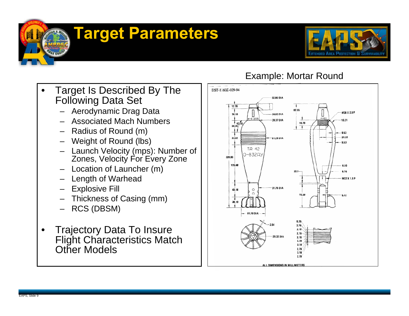# **Target Parameters**



- • Target Is Described By The Following Data Set
	- –Aerodynamic Drag Data
	- –Associated Mach Numbers
	- Radius of Round (m)
	- Weight of Round (lbs)
	- Launch Velocity (mps): Number of Zones, Velocity For Every Zone
	- Location of Launcher (m)
	- Length of Warhead
	- Explosive Fill
	- Thickness of Casing (mm)
	- –RCS (DBSM)
- • Trajectory Data To Insure Flight Characteristics Match Other Models

### Example: Mortar Round

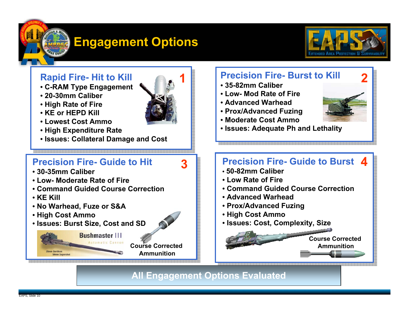# **Engagement Options**



#### **Rapid Fire- Hit to Kill**

- **C-RAM Type Engagement**
- **20-30mm Caliber**
- **High Rate of Fire**
- **KE or HEPD Kill**
- **Lowest Cost Ammo**
- **High Expenditure Rate**
- **Issues: Collateral Damage and Cost**

#### **Precision Fire- Guide to Hit**

- **30-35mm Caliber**
- **Low- Moderate Rate of Fire**
- **Command Guided Course Correction**
- **KE Kill**
- **No Warhead, Fuze or S&A**
- **High Cost Ammo**
- **Issues: Burst Size, Cost and SD**

**Bushmaster III** utomatic Cannon **Course Corrected Ammunition**

### **2 Precision Fire- Burst to Kill**

- **35-82mm Caliber**
- **Low- Mod Rate of Fire**
- **Advanced Warhead**
- **Prox/Advanced Fuzing**
- **Moderate Cost Ammo**
- **Issues: Adequate Ph and Lethality**

### **4 Precision Fire- Guide to Burst**

- **50-82mm Caliber**
- **Low Rate of Fire**
- **Command Guided Course Correction**
- **Advanced Warhead**
- **Prox/Advanced Fuzing**
- **High Cost Ammo**
- **Issues: Cost, Complexity, Size**

#### **Course Corrected Ammunition**

**All Engagement Options Evaluated**



**3**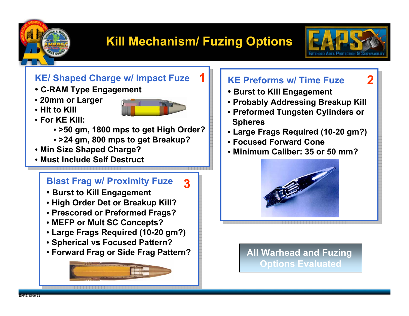

# **Kill Mechanism/ Fuzing Options**

**1**

**3**



**2**

### **KE/ Shaped Charge w/ Impact Fuze**

- **C-RAM Type Engagement**
- **20mm or Larger**
- **Hit to Kill**



- **For KE Kill:**
	- **>50 gm, 1800 mps to get High Order?**
	- **>24 gm, 800 mps to get Breakup?**
- **Min Size Shaped Charge?**
- **Must Include Self Destruct**

### **Blast Frag w/ Proximity Fuze**

- **Burst to Kill Engagement**
- **High Order Det or Breakup Kill?**
- **Prescored or Preformed Frags?**
- **MEFP or Mult SC Concepts?**
- **Large Frags Required (10-20 gm?)**
- **Spherical vs Focused Pattern?**
- **Forward Frag or Side Frag Pattern?**



### **KE Preforms w/ Time Fuze**

- **Burst to Kill Engagement**
- **Probably Addressing Breakup Kill**
- **Preformed Tungsten Cylinders or Spheres**
- **Large Frags Required (10-20 gm?)**
- **Focused Forward Cone**
- **Minimum Caliber: 35 or 50 mm?**



#### **All Warhead and Fuzing Options Evaluated**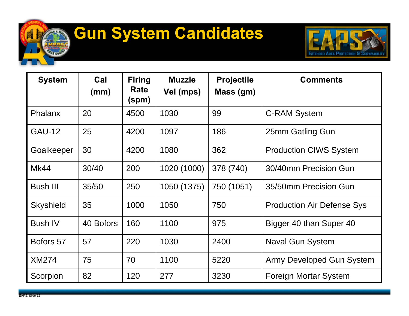# **Gun System Candidates**



| <b>System</b>    | Cal<br>(mm) | <b>Firing</b><br><b>Rate</b><br>(spm) | <b>Muzzle</b><br>Vel (mps) | <b>Projectile</b><br>Mass (gm) | <b>Comments</b>                   |
|------------------|-------------|---------------------------------------|----------------------------|--------------------------------|-----------------------------------|
| Phalanx          | 20          | 4500                                  | 1030                       | 99                             | <b>C-RAM System</b>               |
| <b>GAU-12</b>    | 25          | 4200                                  | 1097                       | 186                            | 25mm Gatling Gun                  |
| Goalkeeper       | 30          | 4200                                  | 1080                       | 362                            | <b>Production CIWS System</b>     |
| <b>Mk44</b>      | 30/40       | 200                                   | 1020 (1000)                | 378 (740)                      | 30/40mm Precision Gun             |
| <b>Bush III</b>  | 35/50       | 250                                   | 1050 (1375)                | 750 (1051)                     | 35/50mm Precision Gun             |
| <b>Skyshield</b> | 35          | 1000                                  | 1050                       | 750                            | <b>Production Air Defense Sys</b> |
| <b>Bush IV</b>   | 40 Bofors   | 160                                   | 1100                       | 975                            | Bigger 40 than Super 40           |
| Bofors 57        | 57          | 220                                   | 1030                       | 2400                           | <b>Naval Gun System</b>           |
| <b>XM274</b>     | 75          | 70                                    | 1100                       | 5220                           | Army Developed Gun System         |
| Scorpion         | 82          | 120                                   | 277                        | 3230                           | Foreign Mortar System             |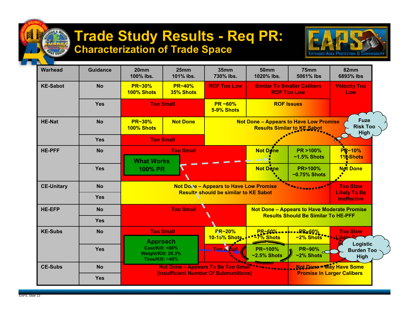## **Trade Study Results - Req PR: Characterization of Trade Space**



| <b>Warhead</b>    | <b>Guidance</b> | 20mm<br>100% lbs.                                                                                                          | 25mm<br>101% lbs. | 35mm<br>730% lbs.                                                                   | <b>50mm</b><br>1020% lbs.                                | 75mm<br>5061% lbs                     | 82mm<br>6893% lbs                         |
|-------------------|-----------------|----------------------------------------------------------------------------------------------------------------------------|-------------------|-------------------------------------------------------------------------------------|----------------------------------------------------------|---------------------------------------|-------------------------------------------|
| <b>KE-Sabot</b>   | <b>No</b>       | <b>PR~30%</b><br><b>PR~40%</b><br>35% Shots<br>100% Shots<br><b>Too Small</b>                                              |                   | <b>ROF Too Low</b>                                                                  | <b>Similar To Smaller Calibers</b><br><b>ROF Too Low</b> |                                       | <b>Velocity Too</b><br>Low                |
|                   | <b>Yes</b>      |                                                                                                                            |                   | <b>PR ~60%</b><br>5-9% Shots                                                        | <b>ROF Issues</b>                                        |                                       |                                           |
| <b>HE-Nat</b>     | <b>No</b>       | <b>PR~30%</b><br><b>Not Done</b><br>100% Shots                                                                             |                   | <b>Not Done - Appears to Have Low Promise</b><br><b>Results Similar to KE Sabot</b> |                                                          |                                       | <b>Fuze</b><br><b>Risk Too</b><br>High    |
|                   | Yes             |                                                                                                                            | <b>Too Small</b>  |                                                                                     |                                                          |                                       |                                           |
| <b>HE-PFF</b>     | <b>No</b>       | <b>What Works</b>                                                                                                          | <b>Too Small</b>  |                                                                                     | <b>Not Done</b>                                          | PR >100%<br>$~1.5\%$ Shots            | PR~10%<br>1%-Shots                        |
|                   | <b>Yes</b>      | <b>100% PR</b>                                                                                                             |                   |                                                                                     | <b>Not Done</b>                                          | <b>PR&gt;100%</b><br>$~10.75\%$ Shots | <b>Not Done</b>                           |
| <b>CE-Unitary</b> | <b>No</b>       | <b>Not Dove - Appears to Have Low Promise</b><br><b>Results should be similar to KE Sabot</b>                              |                   |                                                                                     |                                                          | <b>Too Slow</b>                       |                                           |
|                   | <b>Yes</b>      |                                                                                                                            |                   |                                                                                     |                                                          |                                       | <b>Likely To Be</b><br><b>Ineffective</b> |
| <b>HE-EFP</b>     | <b>No</b>       | <b>Too Small</b><br><b>Not Done - Appears to Have Moderate Promise</b><br><b>Results Should Be Similar To HE-PFF</b>       |                   |                                                                                     |                                                          |                                       |                                           |
|                   | <b>Yes</b>      |                                                                                                                            |                   |                                                                                     |                                                          |                                       |                                           |
| <b>KE-Subs</b>    | <b>No</b>       | <b>Approach</b>                                                                                                            | <b>Too Small</b>  | <b>FR~20%</b><br>10-15% Shots.                                                      | PR~60%<br><b>27% Shots</b>                               |                                       | Logistic                                  |
|                   | <b>Yes</b>      | <b>Cost/Kill: &lt;66%</b><br>Weight/Kill: 28.3%<br>Time/Kill: ~40%                                                         |                   | <b>Ton Snall</b>                                                                    | PR~100%<br>$~2.5\%$ Shots                                | <b>PR~90%</b><br>$~2\%$ Shots         | <b>Burden Too</b><br>High                 |
| <b>CE-Subs</b>    | <b>No</b>       | Not Done - May Have Some<br>Not Done - Appears To Be Too Small <sup>*******</sup><br>(Insufficient Number Of Submunitions) |                   |                                                                                     |                                                          |                                       |                                           |
|                   | <b>Yes</b>      |                                                                                                                            |                   | <b>Promise In Larger Calibers</b>                                                   |                                                          |                                       |                                           |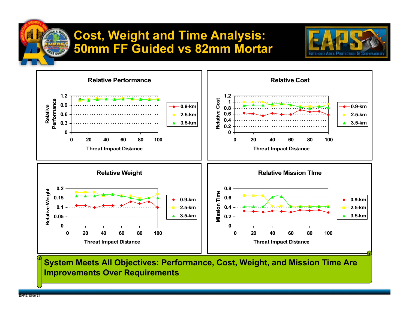## **Cost, Weight and Time Analysis: 50mm FF Guided vs 82mm Mortar**





**System Meets All Objectives: Performance, Cost, Weight, and Mission Time Are Improvements Over Requirements**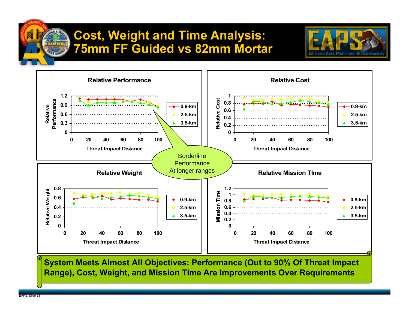## **Cost, Weight and Time Analysis: 75mm FF Guided vs 82mm Mortar**





**System Meets Almost All Objectives: Performance (Out to 90% Of Threat Impact Range), Cost, Weight, and Mission Time Are Improvements Over Requirements**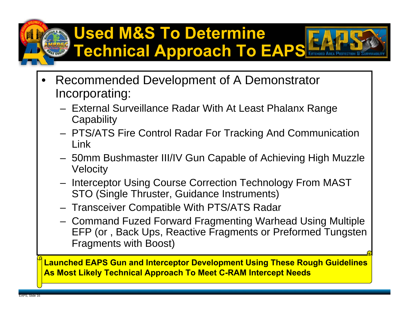# **Used M&S To Determine Technical Approach To EAPS**



- External Surveillance Radar With At Least Phalanx Range **Capability**
- PTS/ATS Fire Control Radar For Tracking And Communication Link
- 50mm Bushmaster III/IV Gun Capable of Achieving High Muzzle Velocity
- Interceptor Using Course Correction Technology From MAST STO (Single Thruster, Guidance Instruments)
- Transceiver Compatible With PTS/ATS Radar
- Command Fuzed Forward Fragmenting Warhead Using Multiple EFP (or , Back Ups, Reactive Fragments or Preformed Tungsten Fragments with Boost)

**Launched EAPS Gun and Interceptor Development Using These Rough Guidelines As Most Likely Technical Approach To Meet C-RAM Intercept Needs**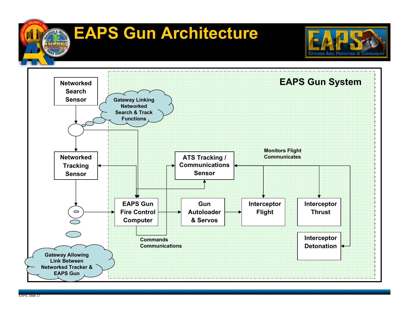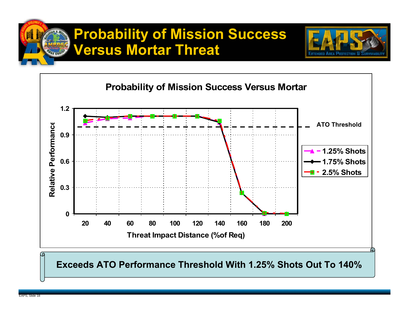# **Probability of Mission Success Versus Mortar Threat**





**Exceeds ATO Performance Threshold With 1.25% Shots Out To 140%**